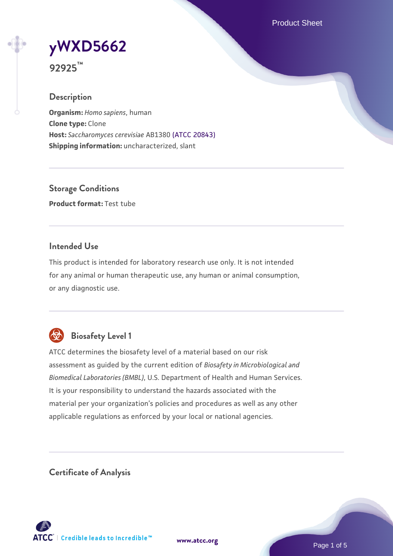Product Sheet

# **[yWXD5662](https://www.atcc.org/products/92925)**

**92925™**

## **Description**

**Organism:** *Homo sapiens*, human **Clone type:** Clone **Host:** *Saccharomyces cerevisiae* AB1380 [\(ATCC 20843\)](https://www.atcc.org/products/20843) **Shipping information:** uncharacterized, slant

**Storage Conditions Product format:** Test tube

## **Intended Use**

This product is intended for laboratory research use only. It is not intended for any animal or human therapeutic use, any human or animal consumption, or any diagnostic use.



# **Biosafety Level 1**

ATCC determines the biosafety level of a material based on our risk assessment as guided by the current edition of *Biosafety in Microbiological and Biomedical Laboratories (BMBL)*, U.S. Department of Health and Human Services. It is your responsibility to understand the hazards associated with the material per your organization's policies and procedures as well as any other applicable regulations as enforced by your local or national agencies.

**Certificate of Analysis**

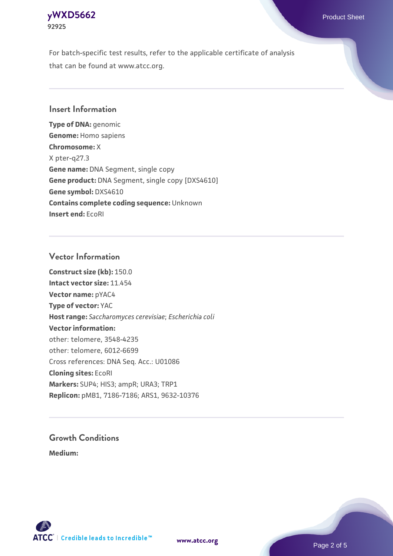## **[yWXD5662](https://www.atcc.org/products/92925)** Product Sheet **92925**

For batch-specific test results, refer to the applicable certificate of analysis that can be found at www.atcc.org.

## **Insert Information**

**Type of DNA:** genomic **Genome:** Homo sapiens **Chromosome:** X X pter-q27.3 **Gene name:** DNA Segment, single copy **Gene product:** DNA Segment, single copy [DXS4610] **Gene symbol:** DXS4610 **Contains complete coding sequence:** Unknown **Insert end:** EcoRI

## **Vector Information**

**Construct size (kb):** 150.0 **Intact vector size:** 11.454 **Vector name:** pYAC4 **Type of vector:** YAC **Host range:** *Saccharomyces cerevisiae*; *Escherichia coli* **Vector information:** other: telomere, 3548-4235 other: telomere, 6012-6699 Cross references: DNA Seq. Acc.: U01086 **Cloning sites:** EcoRI **Markers:** SUP4; HIS3; ampR; URA3; TRP1 **Replicon:** pMB1, 7186-7186; ARS1, 9632-10376

# **Growth Conditions**

**Medium:** 



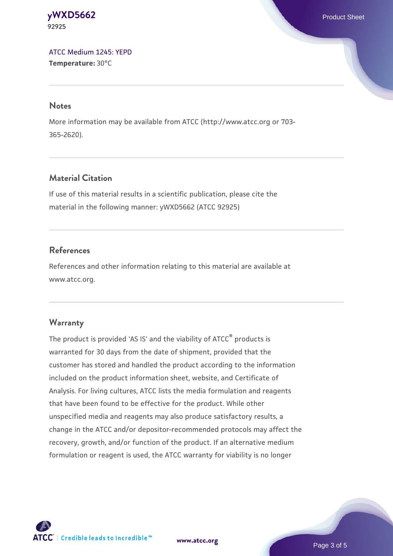#### **[yWXD5662](https://www.atcc.org/products/92925)** Product Sheet **92925**

[ATCC Medium 1245: YEPD](https://www.atcc.org/-/media/product-assets/documents/microbial-media-formulations/1/2/4/5/atcc-medium-1245.pdf?rev=705ca55d1b6f490a808a965d5c072196) **Temperature:** 30°C

#### **Notes**

More information may be available from ATCC (http://www.atcc.org or 703- 365-2620).

## **Material Citation**

If use of this material results in a scientific publication, please cite the material in the following manner: yWXD5662 (ATCC 92925)

## **References**

References and other information relating to this material are available at www.atcc.org.

#### **Warranty**

The product is provided 'AS IS' and the viability of ATCC® products is warranted for 30 days from the date of shipment, provided that the customer has stored and handled the product according to the information included on the product information sheet, website, and Certificate of Analysis. For living cultures, ATCC lists the media formulation and reagents that have been found to be effective for the product. While other unspecified media and reagents may also produce satisfactory results, a change in the ATCC and/or depositor-recommended protocols may affect the recovery, growth, and/or function of the product. If an alternative medium formulation or reagent is used, the ATCC warranty for viability is no longer



**[www.atcc.org](http://www.atcc.org)**

Page 3 of 5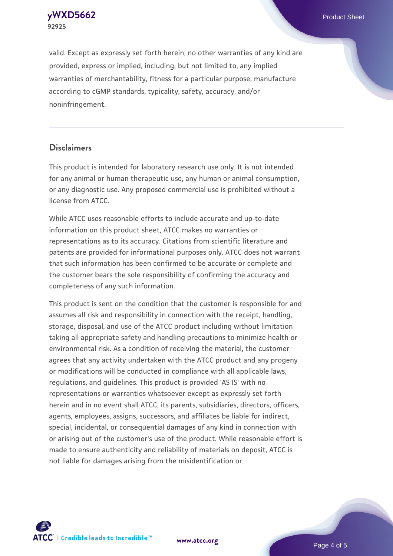**[yWXD5662](https://www.atcc.org/products/92925)** Product Sheet **92925**

valid. Except as expressly set forth herein, no other warranties of any kind are provided, express or implied, including, but not limited to, any implied warranties of merchantability, fitness for a particular purpose, manufacture according to cGMP standards, typicality, safety, accuracy, and/or noninfringement.

#### **Disclaimers**

This product is intended for laboratory research use only. It is not intended for any animal or human therapeutic use, any human or animal consumption, or any diagnostic use. Any proposed commercial use is prohibited without a license from ATCC.

While ATCC uses reasonable efforts to include accurate and up-to-date information on this product sheet, ATCC makes no warranties or representations as to its accuracy. Citations from scientific literature and patents are provided for informational purposes only. ATCC does not warrant that such information has been confirmed to be accurate or complete and the customer bears the sole responsibility of confirming the accuracy and completeness of any such information.

This product is sent on the condition that the customer is responsible for and assumes all risk and responsibility in connection with the receipt, handling, storage, disposal, and use of the ATCC product including without limitation taking all appropriate safety and handling precautions to minimize health or environmental risk. As a condition of receiving the material, the customer agrees that any activity undertaken with the ATCC product and any progeny or modifications will be conducted in compliance with all applicable laws, regulations, and guidelines. This product is provided 'AS IS' with no representations or warranties whatsoever except as expressly set forth herein and in no event shall ATCC, its parents, subsidiaries, directors, officers, agents, employees, assigns, successors, and affiliates be liable for indirect, special, incidental, or consequential damages of any kind in connection with or arising out of the customer's use of the product. While reasonable effort is made to ensure authenticity and reliability of materials on deposit, ATCC is not liable for damages arising from the misidentification or



**[www.atcc.org](http://www.atcc.org)**

Page 4 of 5